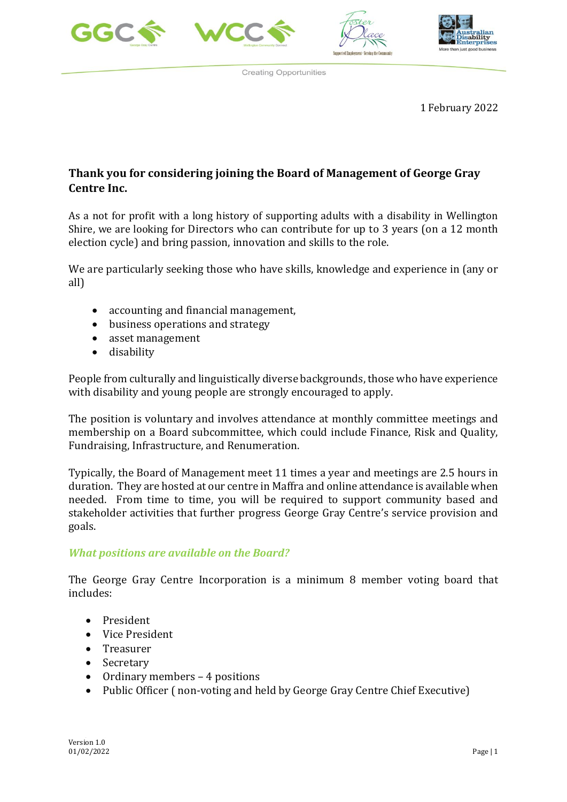







1 February 2022

## **Thank you for considering joining the Board of Management of George Gray Centre Inc.**

As a not for profit with a long history of supporting adults with a disability in Wellington Shire, we are looking for Directors who can contribute for up to 3 years (on a 12 month election cycle) and bring passion, innovation and skills to the role.

We are particularly seeking those who have skills, knowledge and experience in (any or all)

- accounting and financial management,
- business operations and strategy
- asset management
- disability

People from culturally and linguistically diverse backgrounds, those who have experience with disability and young people are strongly encouraged to apply.

The position is voluntary and involves attendance at monthly committee meetings and membership on a Board subcommittee, which could include Finance, Risk and Quality, Fundraising, Infrastructure, and Renumeration.

Typically, the Board of Management meet 11 times a year and meetings are 2.5 hours in duration. They are hosted at our centre in Maffra and online attendance is available when needed. From time to time, you will be required to support community based and stakeholder activities that further progress George Gray Centre's service provision and goals.

#### *What positions are available on the Board?*

The George Gray Centre Incorporation is a minimum 8 member voting board that includes:

- President
- Vice President
- Treasurer
- Secretary
- Ordinary members 4 positions
- Public Officer (non-voting and held by George Gray Centre Chief Executive)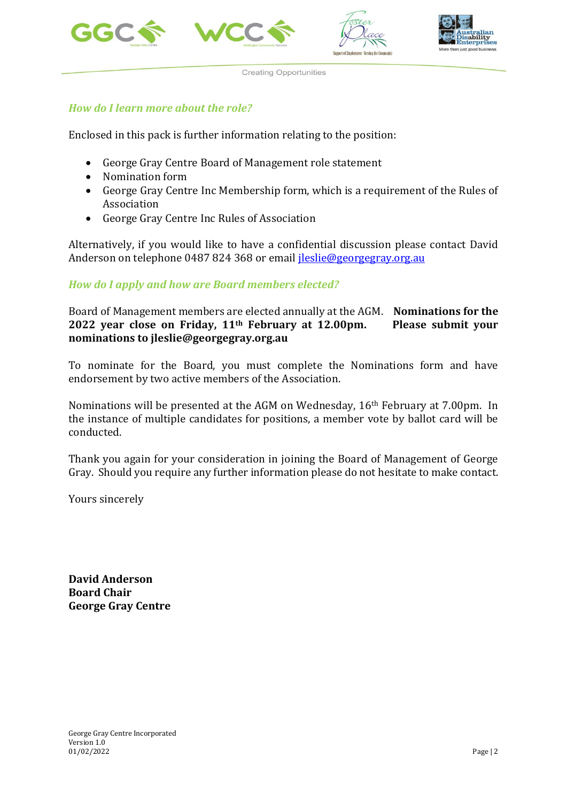







### *How do I learn more about the role?*

Enclosed in this pack is further information relating to the position:

- George Gray Centre Board of Management role statement
- Nomination form
- George Gray Centre Inc Membership form, which is a requirement of the Rules of Association
- George Gray Centre Inc Rules of Association

Alternatively, if you would like to have a confidential discussion please contact David Anderson on telephone 0487 824 368 or email [jleslie@georgegray.org.au](mailto:jleslie@georgegray.org.au)

#### *How do I apply and how are Board members elected?*

Board of Management members are elected annually at the AGM. **Nominations for the 2022 year close on Friday, 11th February at 12.00pm. Please submit your nominations to jleslie@georgegray.org.au**

To nominate for the Board, you must complete the Nominations form and have endorsement by two active members of the Association.

Nominations will be presented at the AGM on Wednesday, 16th February at 7.00pm. In the instance of multiple candidates for positions, a member vote by ballot card will be conducted.

Thank you again for your consideration in joining the Board of Management of George Gray. Should you require any further information please do not hesitate to make contact.

Yours sincerely

**David Anderson Board Chair George Gray Centre**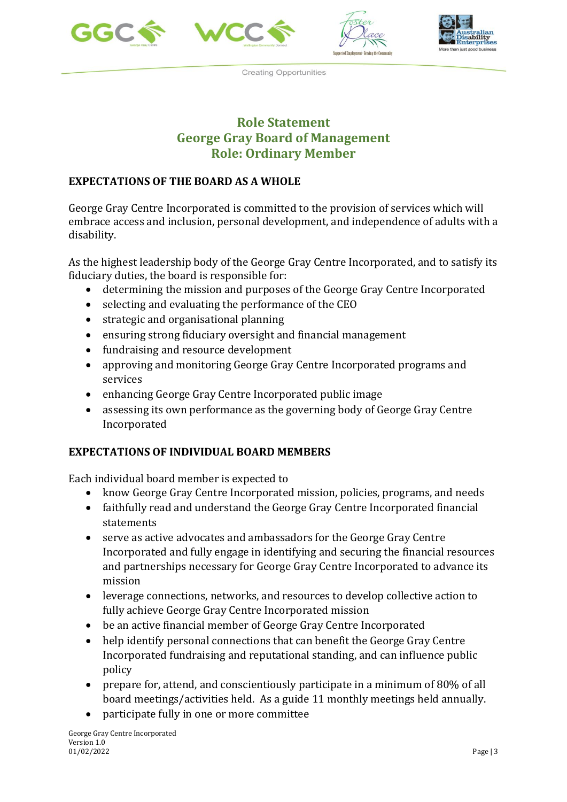







## **Role Statement George Gray Board of Management Role: Ordinary Member**

### **EXPECTATIONS OF THE BOARD AS A WHOLE**

George Gray Centre Incorporated is committed to the provision of services which will embrace access and inclusion, personal development, and independence of adults with a disability.

As the highest leadership body of the George Gray Centre Incorporated, and to satisfy its fiduciary duties, the board is responsible for:

- determining the mission and purposes of the George Gray Centre Incorporated
- selecting and evaluating the performance of the CEO
- strategic and organisational planning
- ensuring strong fiduciary oversight and financial management
- fundraising and resource development
- approving and monitoring George Gray Centre Incorporated programs and services
- enhancing George Gray Centre Incorporated public image
- assessing its own performance as the governing body of George Gray Centre Incorporated

## **EXPECTATIONS OF INDIVIDUAL BOARD MEMBERS**

Each individual board member is expected to

- know George Gray Centre Incorporated mission, policies, programs, and needs
- faithfully read and understand the George Gray Centre Incorporated financial statements
- serve as active advocates and ambassadors for the George Gray Centre Incorporated and fully engage in identifying and securing the financial resources and partnerships necessary for George Gray Centre Incorporated to advance its mission
- leverage connections, networks, and resources to develop collective action to fully achieve George Gray Centre Incorporated mission
- be an active financial member of George Gray Centre Incorporated
- help identify personal connections that can benefit the George Gray Centre Incorporated fundraising and reputational standing, and can influence public policy
- prepare for, attend, and conscientiously participate in a minimum of 80% of all board meetings/activities held. As a guide 11 monthly meetings held annually.
- participate fully in one or more committee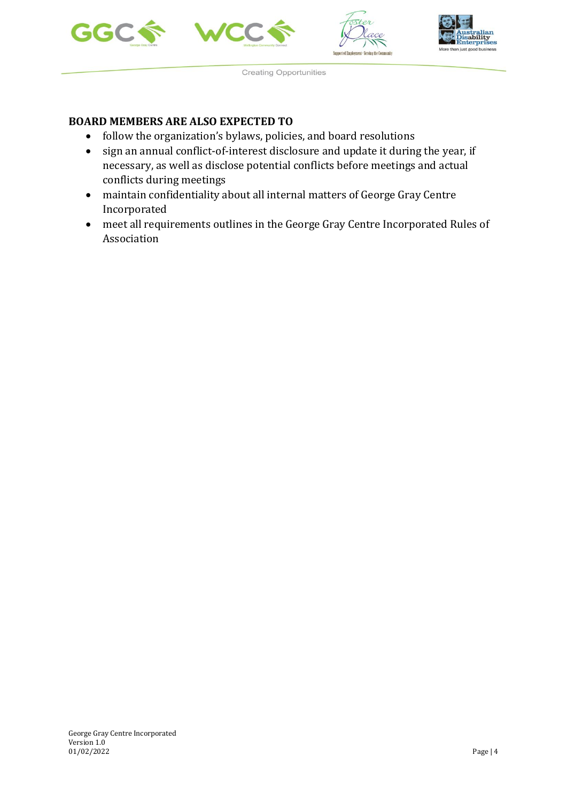







#### **BOARD MEMBERS ARE ALSO EXPECTED TO**

- follow the organization's bylaws, policies, and board resolutions
- sign an annual conflict-of-interest disclosure and update it during the year, if necessary, as well as disclose potential conflicts before meetings and actual conflicts during meetings
- maintain confidentiality about all internal matters of George Gray Centre Incorporated
- meet all requirements outlines in the George Gray Centre Incorporated Rules of Association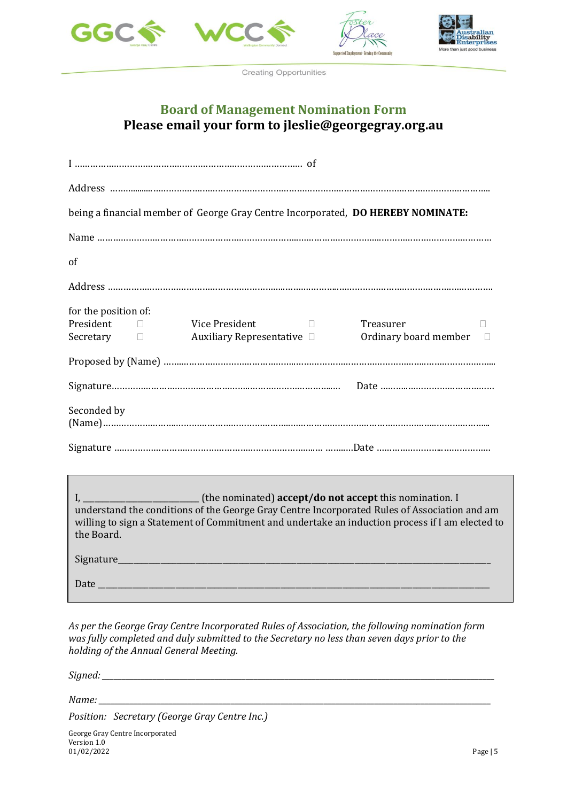





## **Board of Management Nomination Form Please email your form to jleslie@georgegray.org.au**

| being a financial member of George Gray Centre Incorporated, DO HEREBY NOMINATE:                                                                                                                              |
|---------------------------------------------------------------------------------------------------------------------------------------------------------------------------------------------------------------|
|                                                                                                                                                                                                               |
| of                                                                                                                                                                                                            |
|                                                                                                                                                                                                               |
| for the position of:<br>President D<br>Vice President<br>the control of the control of<br>Treasurer<br>Auxiliary Representative D<br>Secretary $\Box$                                                         |
|                                                                                                                                                                                                               |
|                                                                                                                                                                                                               |
| Seconded by                                                                                                                                                                                                   |
|                                                                                                                                                                                                               |
| understand the conditions of the George Gray Centre Incorporated Rules of Association and am<br>willing to sign a Statement of Commitment and undertake an induction process if I am elected to<br>the Board. |

| Signature_ |  |
|------------|--|
| Date       |  |

*As per the George Gray Centre Incorporated Rules of Association, the following nomination form was fully completed and duly submitted to the Secretary no less than seven days prior to the holding of the Annual General Meeting.*

*Signed: \_\_\_\_\_\_\_\_\_\_\_\_\_\_\_\_\_\_\_\_\_\_\_\_\_\_\_\_\_\_\_\_\_\_\_\_\_\_\_\_\_\_\_\_\_\_\_\_\_\_\_\_\_\_\_\_\_\_\_\_\_\_\_\_\_\_\_\_\_\_\_\_\_\_\_\_\_\_\_\_\_\_\_\_\_\_\_\_\_\_\_\_\_\_\_\_\_\_\_\_\_*

*Name: \_\_\_\_\_\_\_\_\_\_\_\_\_\_\_\_\_\_\_\_\_\_\_\_\_\_\_\_\_\_\_\_\_\_\_\_\_\_\_\_\_\_\_\_\_\_\_\_\_\_\_\_\_\_\_\_\_\_\_\_\_\_\_\_\_\_\_\_\_\_\_\_\_\_\_\_\_\_\_\_\_\_\_\_\_\_\_\_\_\_\_\_\_\_\_\_\_\_\_\_\_*

*Position: Secretary (George Gray Centre Inc.)*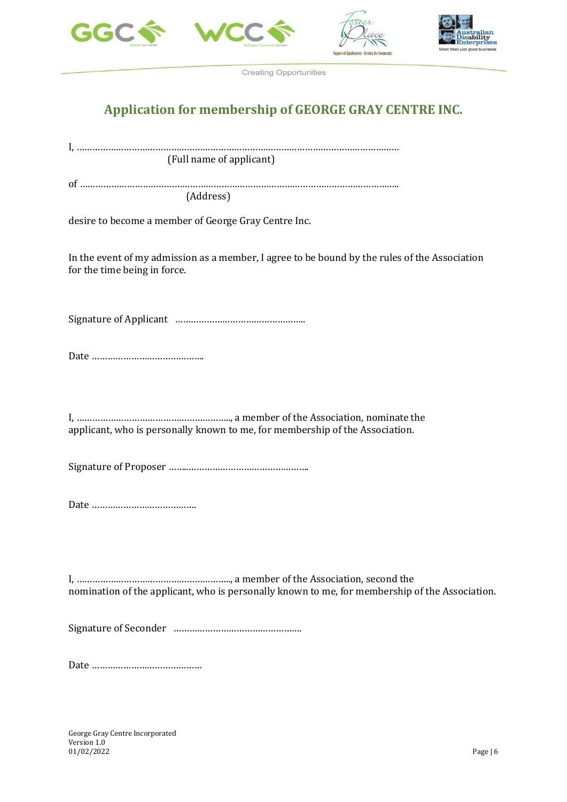





# **Application for membership of GEORGE GRAY CENTRE INC.**

I, …………………………………………………………………………………………………………… (Full name of applicant) of ………………………………………………………………………………………………………….. (Address) desire to become a member of George Gray Centre Inc. In the event of my admission as a member, I agree to be bound by the rules of the Association for the time being in force. Signature of Applicant ………………………………………….. Date ……………………………………. I, ………………………………………………….., a member of the Association, nominate the applicant, who is personally known to me, for membership of the Association. Signature of Proposer ……..………………………………………. Date …………………………………. I, ………………………………………………….., a member of the Association, second the nomination of the applicant, who is personally known to me, for membership of the Association. Signature of Seconder …………………………………………. Date ……………………………………